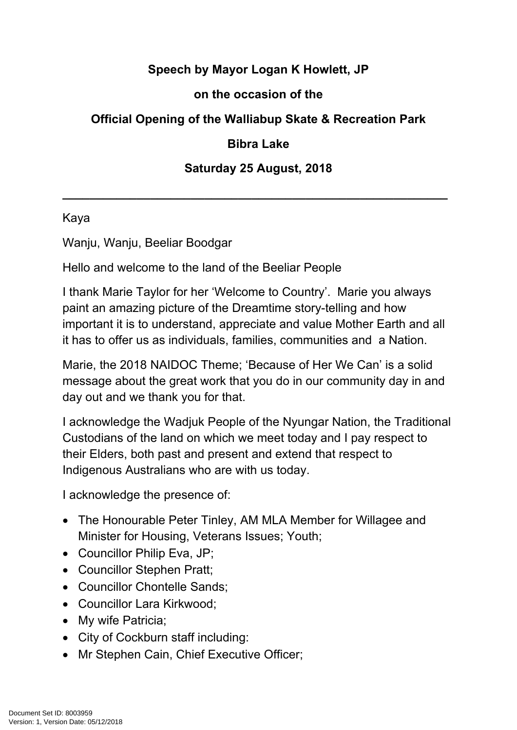## **Speech by Mayor Logan K Howlett, JP**

### **on the occasion of the**

# **Official Opening of the Walliabup Skate & Recreation Park**

#### **Bibra Lake**

### **Saturday 25 August, 2018**

**\_\_\_\_\_\_\_\_\_\_\_\_\_\_\_\_\_\_\_\_\_\_\_\_\_\_\_\_\_\_\_\_\_\_\_\_\_\_\_\_\_\_\_\_\_\_\_\_\_\_\_\_\_\_\_\_\_**

#### Kaya

Wanju, Wanju, Beeliar Boodgar

Hello and welcome to the land of the Beeliar People

I thank Marie Taylor for her 'Welcome to Country'. Marie you always paint an amazing picture of the Dreamtime story-telling and how important it is to understand, appreciate and value Mother Earth and all it has to offer us as individuals, families, communities and a Nation.

Marie, the 2018 NAIDOC Theme; 'Because of Her We Can' is a solid message about the great work that you do in our community day in and day out and we thank you for that.

I acknowledge the Wadjuk People of the Nyungar Nation, the Traditional Custodians of the land on which we meet today and I pay respect to their Elders, both past and present and extend that respect to Indigenous Australians who are with us today.

I acknowledge the presence of:

- The Honourable Peter Tinley, AM MLA Member for Willagee and Minister for Housing, Veterans Issues; Youth;
- Councillor Philip Eva, JP;
- Councillor Stephen Pratt;
- Councillor Chontelle Sands:
- Councillor Lara Kirkwood:
- My wife Patricia;
- City of Cockburn staff including:
- Mr Stephen Cain, Chief Executive Officer;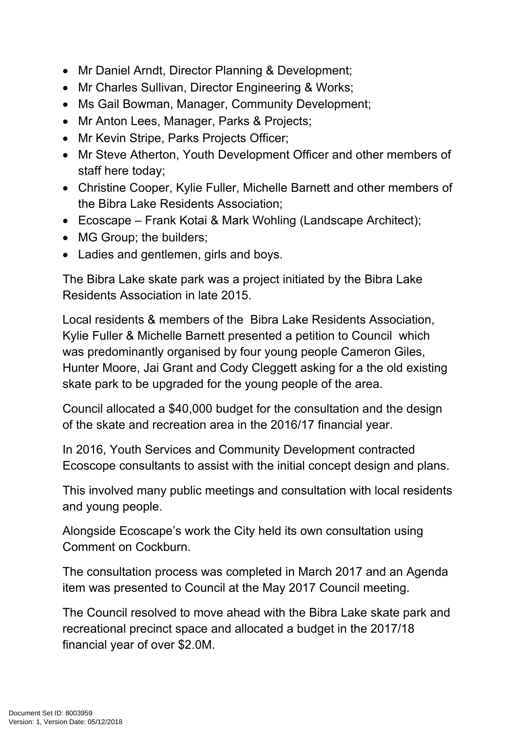- Mr Daniel Arndt, Director Planning & Development;
- Mr Charles Sullivan, Director Engineering & Works;
- Ms Gail Bowman, Manager, Community Development;
- Mr Anton Lees, Manager, Parks & Projects;
- Mr Kevin Stripe, Parks Projects Officer;
- Mr Steve Atherton, Youth Development Officer and other members of staff here today;
- Christine Cooper, Kylie Fuller, Michelle Barnett and other members of the Bibra Lake Residents Association;
- Ecoscape Frank Kotai & Mark Wohling (Landscape Architect);
- MG Group; the builders;
- Ladies and gentlemen, girls and boys.

The Bibra Lake skate park was a project initiated by the Bibra Lake Residents Association in late 2015.

Local residents & members of the Bibra Lake Residents Association, Kylie Fuller & Michelle Barnett presented a petition to Council which was predominantly organised by four young people Cameron Giles, Hunter Moore, Jai Grant and Cody Cleggett asking for a the old existing skate park to be upgraded for the young people of the area.

Council allocated a \$40,000 budget for the consultation and the design of the skate and recreation area in the 2016/17 financial year.

In 2016, Youth Services and Community Development contracted Ecoscope consultants to assist with the initial concept design and plans.

This involved many public meetings and consultation with local residents and young people.

Alongside Ecoscape's work the City held its own consultation using Comment on Cockburn.

The consultation process was completed in March 2017 and an Agenda item was presented to Council at the May 2017 Council meeting.

The Council resolved to move ahead with the Bibra Lake skate park and recreational precinct space and allocated a budget in the 2017/18 financial year of over \$2.0M.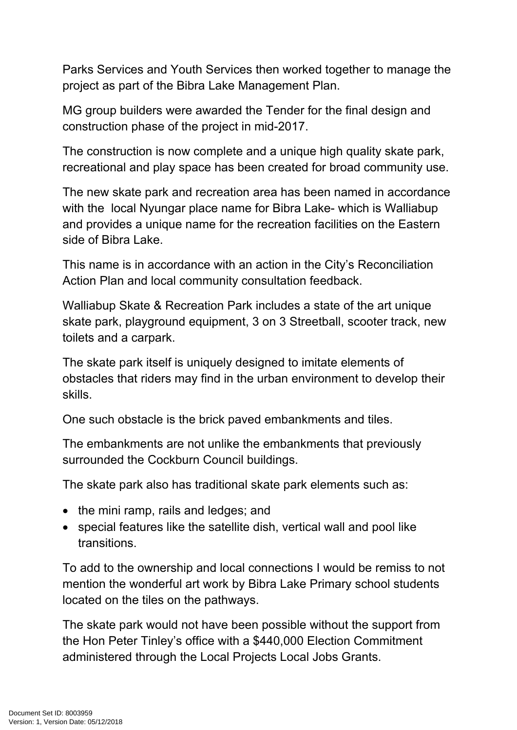Parks Services and Youth Services then worked together to manage the project as part of the Bibra Lake Management Plan.

MG group builders were awarded the Tender for the final design and construction phase of the project in mid-2017.

The construction is now complete and a unique high quality skate park, recreational and play space has been created for broad community use.

The new skate park and recreation area has been named in accordance with the local Nyungar place name for Bibra Lake- which is Walliabup and provides a unique name for the recreation facilities on the Eastern side of Bibra Lake.

This name is in accordance with an action in the City's Reconciliation Action Plan and local community consultation feedback.

Walliabup Skate & Recreation Park includes a state of the art unique skate park, playground equipment, 3 on 3 Streetball, scooter track, new toilets and a carpark.

The skate park itself is uniquely designed to imitate elements of obstacles that riders may find in the urban environment to develop their skills.

One such obstacle is the brick paved embankments and tiles.

The embankments are not unlike the embankments that previously surrounded the Cockburn Council buildings.

The skate park also has traditional skate park elements such as:

- the mini ramp, rails and ledges; and
- special features like the satellite dish, vertical wall and pool like transitions.

To add to the ownership and local connections I would be remiss to not mention the wonderful art work by Bibra Lake Primary school students located on the tiles on the pathways.

The skate park would not have been possible without the support from the Hon Peter Tinley's office with a \$440,000 Election Commitment administered through the Local Projects Local Jobs Grants.